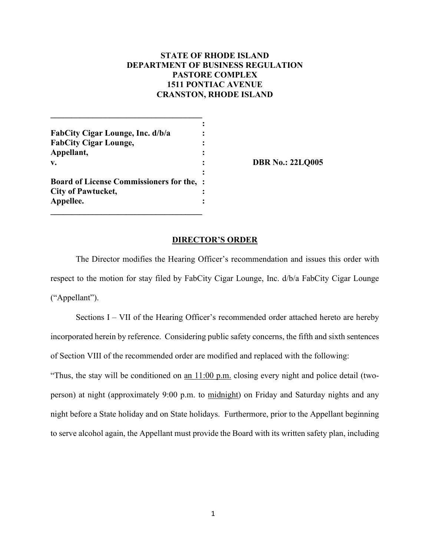## **STATE OF RHODE ISLAND DEPARTMENT OF BUSINESS REGULATION PASTORE COMPLEX 1511 PONTIAC AVENUE CRANSTON, RHODE ISLAND**

| FabCity Cigar Lounge, Inc. d/b/a                 |  |
|--------------------------------------------------|--|
| <b>FabCity Cigar Lounge,</b>                     |  |
| Appellant,                                       |  |
| $\mathbf{v}$ .                                   |  |
| <b>Board of License Commissioners for the, :</b> |  |
| <b>City of Pawtucket,</b>                        |  |
| Appellee.                                        |  |

**v. : DBR No.: 22LQ005**

### **DIRECTOR'S ORDER**

The Director modifies the Hearing Officer's recommendation and issues this order with respect to the motion for stay filed by FabCity Cigar Lounge, Inc. d/b/a FabCity Cigar Lounge ("Appellant").

Sections I – VII of the Hearing Officer's recommended order attached hereto are hereby incorporated herein by reference. Considering public safety concerns, the fifth and sixth sentences of Section VIII of the recommended order are modified and replaced with the following: "Thus, the stay will be conditioned on  $\underline{an}$  11:00 p.m. closing every night and police detail (two-

person) at night (approximately 9:00 p.m. to midnight) on Friday and Saturday nights and any night before a State holiday and on State holidays. Furthermore, prior to the Appellant beginning to serve alcohol again, the Appellant must provide the Board with its written safety plan, including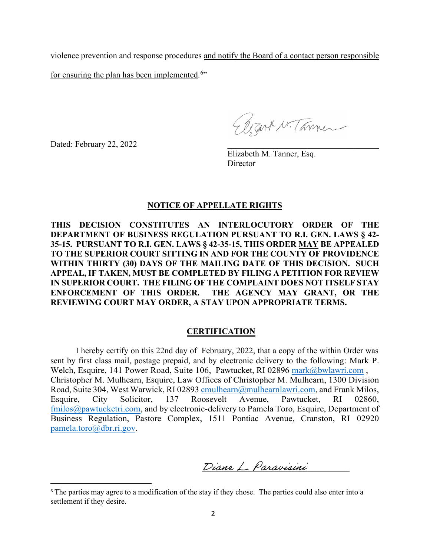violence prevention and response procedures and notify the Board of a contact person responsible

for ensuring the plan has been implemented.<sup>[6](#page-1-0)</sup>"

Dated: February 22, 2022

Elizant N. Tammer

Elizabeth M. Tanner, Esq. **Director** 

## **NOTICE OF APPELLATE RIGHTS**

# **THIS DECISION CONSTITUTES AN INTERLOCUTORY ORDER OF THE DEPARTMENT OF BUSINESS REGULATION PURSUANT TO R.I. GEN. LAWS § 42- 35-15. PURSUANT TO R.I. GEN. LAWS § 42-35-15, THIS ORDER MAY BE APPEALED TO THE SUPERIOR COURT SITTING IN AND FOR THE COUNTY OF PROVIDENCE WITHIN THIRTY (30) DAYS OF THE MAILING DATE OF THIS DECISION. SUCH APPEAL, IF TAKEN, MUST BE COMPLETED BY FILING A PETITION FOR REVIEW IN SUPERIOR COURT. THE FILING OF THE COMPLAINT DOES NOT ITSELF STAY ENFORCEMENT OF THIS ORDER. THE AGENCY MAY GRANT, OR THE REVIEWING COURT MAY ORDER, A STAY UPON APPROPRIATE TERMS.**

## **CERTIFICATION**

I hereby certify on this 22nd day of February, 2022, that a copy of the within Order was sent by first class mail, postage prepaid, and by electronic delivery to the following: Mark P. Welch, Esquire, 141 Power Road, Suite 106, Pawtucket, RI 0289[6 mark@bwlawri.com](mailto:mark@bwlawri.com), Christopher M. Mulhearn, Esquire, Law Offices of Christopher M. Mulhearn, 1300 Division Road, Suite 304, West Warwick, RI 02893 [cmulhearn@mulhearnlawri.com,](mailto:cmulhearn@mulhearnlawri.com) and Frank Milos, Esquire, City Solicitor, 137 Roosevelt Avenue, Pawtucket, RI 02860, [fmilos@pawtucketri.com,](mailto:fmilos@pawtucketri.com) and by electronic-delivery to Pamela Toro, Esquire, Department of Business Regulation, Pastore Complex, 1511 Pontiac Avenue, Cranston, RI 02920 [pamela.toro@dbr.ri.gov.](mailto:pamela.toro@dbr.ri.gov)

Diane L. Paravisini

<span id="page-1-0"></span><sup>&</sup>lt;sup>6</sup> The parties may agree to a modification of the stay if they chose. The parties could also enter into a settlement if they desire.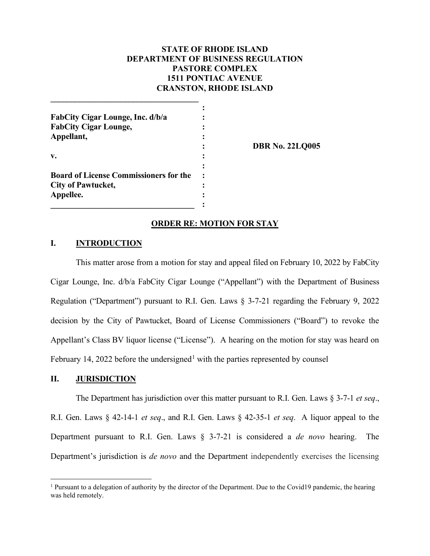## **STATE OF RHODE ISLAND DEPARTMENT OF BUSINESS REGULATION PASTORE COMPLEX 1511 PONTIAC AVENUE CRANSTON, RHODE ISLAND**

| FabCity Cigar Lounge, Inc. d/b/a              |  |
|-----------------------------------------------|--|
| <b>FabCity Cigar Lounge,</b>                  |  |
| Appellant,                                    |  |
|                                               |  |
| $\mathbf{v}$ .                                |  |
|                                               |  |
| <b>Board of License Commissioners for the</b> |  |
| <b>City of Pawtucket,</b>                     |  |
| Appellee.                                     |  |
|                                               |  |

**\_\_\_\_\_\_\_\_\_\_\_\_\_\_\_\_\_\_\_\_\_\_\_\_\_\_\_\_\_\_\_\_\_\_\_\_**

**: DBR No. 22LQ005** 

## **ORDER RE: MOTION FOR STAY**

## **I. INTRODUCTION**

This matter arose from a motion for stay and appeal filed on February 10, 2022 by FabCity Cigar Lounge, Inc. d/b/a FabCity Cigar Lounge ("Appellant") with the Department of Business Regulation ("Department") pursuant to R.I. Gen. Laws § 3-7-21 regarding the February 9, 2022 decision by the City of Pawtucket, Board of License Commissioners ("Board") to revoke the Appellant's Class BV liquor license ("License"). A hearing on the motion for stay was heard on February [1](#page-2-0)4, 2022 before the undersigned<sup>1</sup> with the parties represented by counsel

### **II. JURISDICTION**

The Department has jurisdiction over this matter pursuant to R.I. Gen. Laws § 3-7-1 *et seq*., R.I. Gen. Laws § 42-14-1 *et seq*., and R.I. Gen. Laws § 42-35-1 *et seq*. A liquor appeal to the Department pursuant to R.I. Gen. Laws § 3-7-21 is considered a *de novo* hearing. The Department's jurisdiction is *de novo* and the Department independently exercises the licensing

<span id="page-2-0"></span><sup>&</sup>lt;sup>1</sup> Pursuant to a delegation of authority by the director of the Department. Due to the Covid19 pandemic, the hearing was held remotely.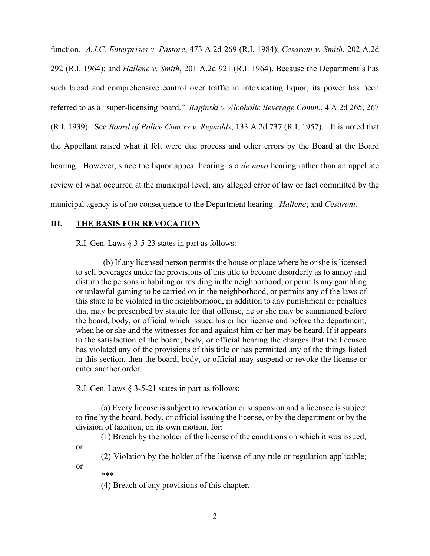function. *A.J.C. Enterprises v. Pastore*, 473 A.2d 269 (R.I. 1984); *Cesaroni v. Smith*, 202 A.2d 292 (R.I. 1964); and *Hallene v. Smith*, 201 A.2d 921 (R.I. 1964). Because the Department's has such broad and comprehensive control over traffic in intoxicating liquor, its power has been referred to as a "super-licensing board." *Baginski v. Alcoholic Beverage Comm*., 4 A.2d 265, 267 (R.I. 1939). See *Board of Police Com'rs v. Reynolds*, 133 A.2d 737 (R.I. 1957). It is noted that the Appellant raised what it felt were due process and other errors by the Board at the Board hearing. However, since the liquor appeal hearing is a *de novo* hearing rather than an appellate review of what occurred at the municipal level, any alleged error of law or fact committed by the municipal agency is of no consequence to the Department hearing. *Hallene*; and *Cesaroni*.

#### **III. THE BASIS FOR REVOCATION**

R.I. Gen. Laws § 3-5-23 states in part as follows:

(b) If any licensed person permits the house or place where he or she is licensed to sell beverages under the provisions of this title to become disorderly as to annoy and disturb the persons inhabiting or residing in the neighborhood, or permits any gambling or unlawful gaming to be carried on in the neighborhood, or permits any of the laws of this state to be violated in the neighborhood, in addition to any punishment or penalties that may be prescribed by statute for that offense, he or she may be summoned before the board, body, or official which issued his or her license and before the department, when he or she and the witnesses for and against him or her may be heard. If it appears to the satisfaction of the board, body, or official hearing the charges that the licensee has violated any of the provisions of this title or has permitted any of the things listed in this section, then the board, body, or official may suspend or revoke the license or enter another order.

R.I. Gen. Laws § 3-5-21 states in part as follows:

(a) Every license is subject to revocation or suspension and a licensee is subject to fine by the board, body, or official issuing the license, or by the department or by the division of taxation, on its own motion, for:

(1) Breach by the holder of the license of the conditions on which it was issued; or

(2) Violation by the holder of the license of any rule or regulation applicable;

or

\*\*\*

(4) Breach of any provisions of this chapter.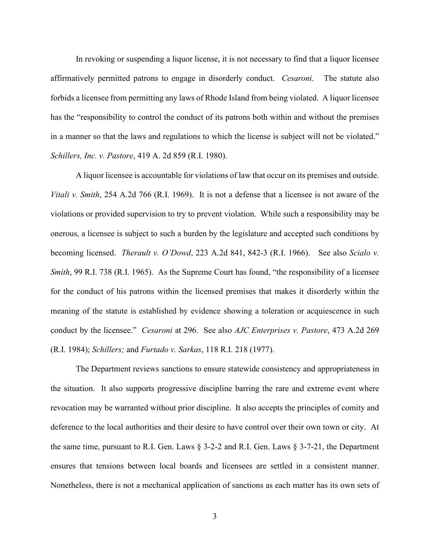In revoking or suspending a liquor license, it is not necessary to find that a liquor licensee affirmatively permitted patrons to engage in disorderly conduct. *Cesaroni*. The statute also forbids a licensee from permitting any laws of Rhode Island from being violated. A liquor licensee has the "responsibility to control the conduct of its patrons both within and without the premises in a manner so that the laws and regulations to which the license is subject will not be violated." *Schillers, Inc. v. Pastore*, 419 A. 2d 859 (R.I. 1980).

A liquor licensee is accountable for violations of law that occur on its premises and outside. *Vitali v. Smith*, 254 A.2d 766 (R.I. 1969). It is not a defense that a licensee is not aware of the violations or provided supervision to try to prevent violation. While such a responsibility may be onerous, a licensee is subject to such a burden by the legislature and accepted such conditions by becoming licensed. *Therault v. O'Dowd*, 223 A.2d 841, 842-3 (R.I. 1966). See also *Scialo v. Smith*, 99 R.I. 738 (R.I. 1965). As the Supreme Court has found, "the responsibility of a licensee for the conduct of his patrons within the licensed premises that makes it disorderly within the meaning of the statute is established by evidence showing a toleration or acquiescence in such conduct by the licensee." *Cesaroni* at 296. See also *AJC Enterprises v. Pastore*, 473 A.2d 269 (R.I. 1984); *Schillers;* and *Furtado v. Sarkas*, 118 R.I. 218 (1977).

The Department reviews sanctions to ensure statewide consistency and appropriateness in the situation. It also supports progressive discipline barring the rare and extreme event where revocation may be warranted without prior discipline. It also accepts the principles of comity and deference to the local authorities and their desire to have control over their own town or city. At the same time, pursuant to R.I. Gen. Laws  $\S$  3-2-2 and R.I. Gen. Laws  $\S$  3-7-21, the Department ensures that tensions between local boards and licensees are settled in a consistent manner. Nonetheless, there is not a mechanical application of sanctions as each matter has its own sets of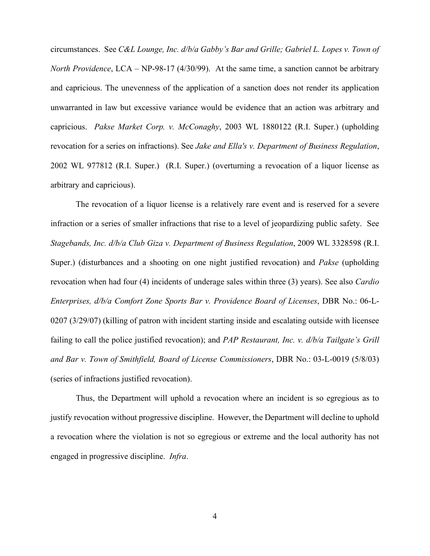circumstances. See *C&L Lounge, Inc. d/b/a Gabby's Bar and Grille; Gabriel L. Lopes v. Town of North Providence*, LCA – NP-98-17 (4/30/99). At the same time, a sanction cannot be arbitrary and capricious. The unevenness of the application of a sanction does not render its application unwarranted in law but excessive variance would be evidence that an action was arbitrary and capricious. *Pakse Market Corp. v. McConaghy*, 2003 WL 1880122 (R.I. Super.) (upholding revocation for a series on infractions). See *Jake and Ella's v. Department of Business Regulation*, 2002 WL 977812 (R.I. Super.) (R.I. Super.) (overturning a revocation of a liquor license as arbitrary and capricious).

The revocation of a liquor license is a relatively rare event and is reserved for a severe infraction or a series of smaller infractions that rise to a level of jeopardizing public safety. See *Stagebands, Inc. d/b/a Club Giza v. Department of Business Regulation*, 2009 WL 3328598 (R.I. Super.) (disturbances and a shooting on one night justified revocation) and *Pakse* (upholding revocation when had four (4) incidents of underage sales within three (3) years). See also *Cardio Enterprises, d/b/a Comfort Zone Sports Bar v. Providence Board of Licenses*, DBR No.: 06-L-0207 (3/29/07) (killing of patron with incident starting inside and escalating outside with licensee failing to call the police justified revocation); and *PAP Restaurant, Inc. v. d/b/a Tailgate's Grill and Bar v. Town of Smithfield, Board of License Commissioners*, DBR No.: 03-L-0019 (5/8/03) (series of infractions justified revocation).

Thus, the Department will uphold a revocation where an incident is so egregious as to justify revocation without progressive discipline. However, the Department will decline to uphold a revocation where the violation is not so egregious or extreme and the local authority has not engaged in progressive discipline. *Infra*.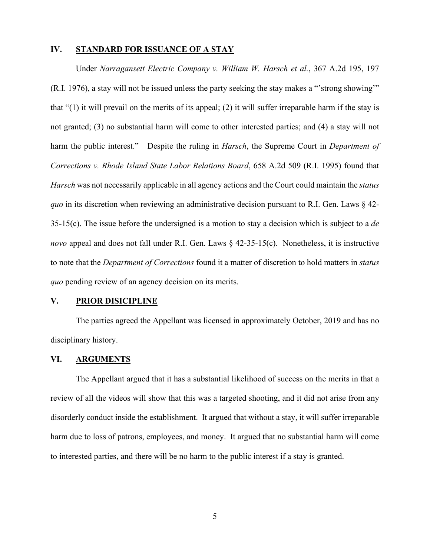#### **IV. STANDARD FOR ISSUANCE OF A STAY**

Under *Narragansett Electric Company v. William W. Harsch et al.*, 367 A.2d 195, 197 (R.I. 1976), a stay will not be issued unless the party seeking the stay makes a "'strong showing'" that "(1) it will prevail on the merits of its appeal; (2) it will suffer irreparable harm if the stay is not granted; (3) no substantial harm will come to other interested parties; and (4) a stay will not harm the public interest." Despite the ruling in *Harsch*, the Supreme Court in *Department of Corrections v. Rhode Island State Labor Relations Board*, 658 A.2d 509 (R.I. 1995) found that *Harsch* was not necessarily applicable in all agency actions and the Court could maintain the *status quo* in its discretion when reviewing an administrative decision pursuant to R.I. Gen. Laws § 42- 35-15(c). The issue before the undersigned is a motion to stay a decision which is subject to a *de novo* appeal and does not fall under R.I. Gen. Laws § 42-35-15(c). Nonetheless, it is instructive to note that the *Department of Corrections* found it a matter of discretion to hold matters in *status quo* pending review of an agency decision on its merits.

### **V. PRIOR DISICIPLINE**

The parties agreed the Appellant was licensed in approximately October, 2019 and has no disciplinary history.

#### **VI. ARGUMENTS**

The Appellant argued that it has a substantial likelihood of success on the merits in that a review of all the videos will show that this was a targeted shooting, and it did not arise from any disorderly conduct inside the establishment. It argued that without a stay, it will suffer irreparable harm due to loss of patrons, employees, and money. It argued that no substantial harm will come to interested parties, and there will be no harm to the public interest if a stay is granted.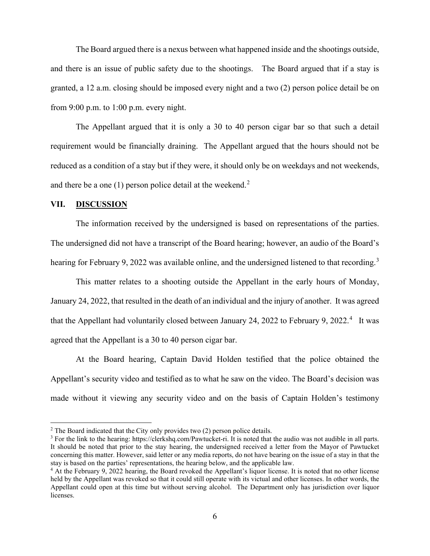The Board argued there is a nexus between what happened inside and the shootings outside, and there is an issue of public safety due to the shootings. The Board argued that if a stay is granted, a 12 a.m. closing should be imposed every night and a two (2) person police detail be on from 9:00 p.m. to  $1:00$  p.m. every night.

The Appellant argued that it is only a 30 to 40 person cigar bar so that such a detail requirement would be financially draining. The Appellant argued that the hours should not be reduced as a condition of a stay but if they were, it should only be on weekdays and not weekends, and there be a one  $(1)$  person police detail at the weekend.<sup>[2](#page-7-0)</sup>

### **VII. DISCUSSION**

The information received by the undersigned is based on representations of the parties. The undersigned did not have a transcript of the Board hearing; however, an audio of the Board's hearing for February 9, 2022 was available online, and the undersigned listened to that recording.<sup>[3](#page-7-1)</sup>

This matter relates to a shooting outside the Appellant in the early hours of Monday, January 24, 2022, that resulted in the death of an individual and the injury of another. It was agreed that the Appellant had voluntarily closed between January 2[4](#page-7-2), 2022 to February 9, 2022.<sup>4</sup> It was agreed that the Appellant is a 30 to 40 person cigar bar.

At the Board hearing, Captain David Holden testified that the police obtained the Appellant's security video and testified as to what he saw on the video. The Board's decision was made without it viewing any security video and on the basis of Captain Holden's testimony

<span id="page-7-0"></span> $2$  The Board indicated that the City only provides two (2) person police details.

<span id="page-7-1"></span><sup>&</sup>lt;sup>3</sup> For the link to the hearing: [https://clerkshq.com/Pawtucket-ri.](https://clerkshq.com/Pawtucket-ri) It is noted that the audio was not audible in all parts. It should be noted that prior to the stay hearing, the undersigned received a letter from the Mayor of Pawtucket concerning this matter. However, said letter or any media reports, do not have bearing on the issue of a stay in that the stay is based on the parties' representations, the hearing below, and the applicable law.

<span id="page-7-2"></span><sup>&</sup>lt;sup>4</sup> At the February 9, 2022 hearing, the Board revoked the Appellant's liquor license. It is noted that no other license held by the Appellant was revoked so that it could still operate with its victual and other licenses. In other words, the Appellant could open at this time but without serving alcohol. The Department only has jurisdiction over liquor licenses.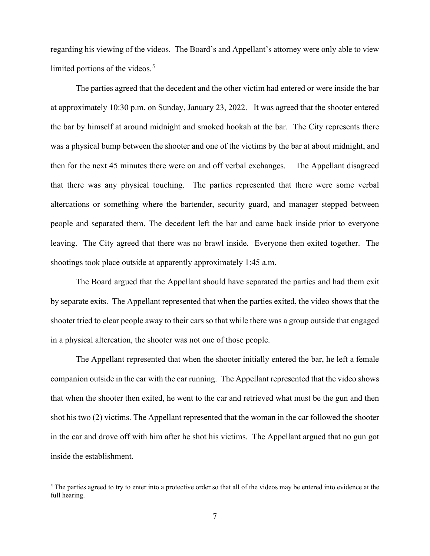regarding his viewing of the videos. The Board's and Appellant's attorney were only able to view limited portions of the videos.<sup>[5](#page-8-0)</sup>

The parties agreed that the decedent and the other victim had entered or were inside the bar at approximately 10:30 p.m. on Sunday, January 23, 2022. It was agreed that the shooter entered the bar by himself at around midnight and smoked hookah at the bar. The City represents there was a physical bump between the shooter and one of the victims by the bar at about midnight, and then for the next 45 minutes there were on and off verbal exchanges. The Appellant disagreed that there was any physical touching. The parties represented that there were some verbal altercations or something where the bartender, security guard, and manager stepped between people and separated them. The decedent left the bar and came back inside prior to everyone leaving. The City agreed that there was no brawl inside. Everyone then exited together. The shootings took place outside at apparently approximately 1:45 a.m.

The Board argued that the Appellant should have separated the parties and had them exit by separate exits. The Appellant represented that when the parties exited, the video shows that the shooter tried to clear people away to their cars so that while there was a group outside that engaged in a physical altercation, the shooter was not one of those people.

The Appellant represented that when the shooter initially entered the bar, he left a female companion outside in the car with the car running. The Appellant represented that the video shows that when the shooter then exited, he went to the car and retrieved what must be the gun and then shot his two (2) victims. The Appellant represented that the woman in the car followed the shooter in the car and drove off with him after he shot his victims. The Appellant argued that no gun got inside the establishment.

<span id="page-8-0"></span> $<sup>5</sup>$  The parties agreed to try to enter into a protective order so that all of the videos may be entered into evidence at the</sup> full hearing.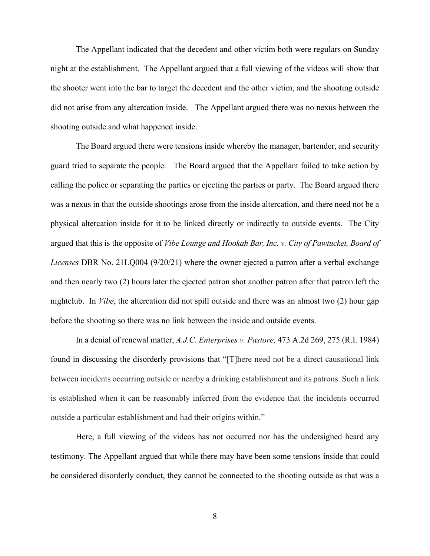The Appellant indicated that the decedent and other victim both were regulars on Sunday night at the establishment. The Appellant argued that a full viewing of the videos will show that the shooter went into the bar to target the decedent and the other victim, and the shooting outside did not arise from any altercation inside. The Appellant argued there was no nexus between the shooting outside and what happened inside.

The Board argued there were tensions inside whereby the manager, bartender, and security guard tried to separate the people. The Board argued that the Appellant failed to take action by calling the police or separating the parties or ejecting the parties or party. The Board argued there was a nexus in that the outside shootings arose from the inside altercation, and there need not be a physical altercation inside for it to be linked directly or indirectly to outside events. The City argued that this is the opposite of *Vibe Lounge and Hookah Bar, Inc. v. City of Pawtucket, Board of Licenses* DBR No. 21LQ004 (9/20/21) where the owner ejected a patron after a verbal exchange and then nearly two (2) hours later the ejected patron shot another patron after that patron left the nightclub. In *Vibe*, the altercation did not spill outside and there was an almost two (2) hour gap before the shooting so there was no link between the inside and outside events.

In a denial of renewal matter, *A.J.C. Enterprises v. Pastore,* [473 A.2d 269, 275 \(R.I. 1984\)](https://a.next.westlaw.com/Link/Document/FullText?findType=Y&serNum=1984111124&pubNum=162&originationContext=document&transitionType=DocumentItem&contextData=(sc.Search)) found in discussing the disorderly provisions that "[T]here need not be a direct causational link between incidents occurring outside or nearby a drinking establishment and its patrons. Such a link is established when it can be reasonably inferred from the evidence that the incidents occurred outside a particular establishment and had their origins within."

Here, a full viewing of the videos has not occurred nor has the undersigned heard any testimony. The Appellant argued that while there may have been some tensions inside that could be considered disorderly conduct, they cannot be connected to the shooting outside as that was a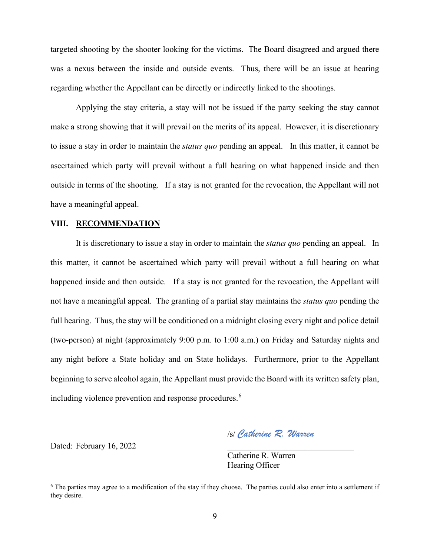targeted shooting by the shooter looking for the victims. The Board disagreed and argued there was a nexus between the inside and outside events. Thus, there will be an issue at hearing regarding whether the Appellant can be directly or indirectly linked to the shootings.

Applying the stay criteria, a stay will not be issued if the party seeking the stay cannot make a strong showing that it will prevail on the merits of its appeal. However, it is discretionary to issue a stay in order to maintain the *status quo* pending an appeal. In this matter, it cannot be ascertained which party will prevail without a full hearing on what happened inside and then outside in terms of the shooting. If a stay is not granted for the revocation, the Appellant will not have a meaningful appeal.

### **VIII. RECOMMENDATION**

It is discretionary to issue a stay in order to maintain the *status quo* pending an appeal. In this matter, it cannot be ascertained which party will prevail without a full hearing on what happened inside and then outside. If a stay is not granted for the revocation, the Appellant will not have a meaningful appeal. The granting of a partial stay maintains the *status quo* pending the full hearing. Thus, the stay will be conditioned on a midnight closing every night and police detail (two-person) at night (approximately 9:00 p.m. to 1:00 a.m.) on Friday and Saturday nights and any night before a State holiday and on State holidays. Furthermore, prior to the Appellant beginning to serve alcohol again, the Appellant must provide the Board with its written safety plan, including violence prevention and response procedures.<sup>[6](#page-10-0)</sup>

/s/ *Catherine R. Warren*

Dated: February 16, 2022

Catherine R. Warren Hearing Officer

<span id="page-10-0"></span><sup>&</sup>lt;sup>6</sup> The parties may agree to a modification of the stay if they choose. The parties could also enter into a settlement if they desire.